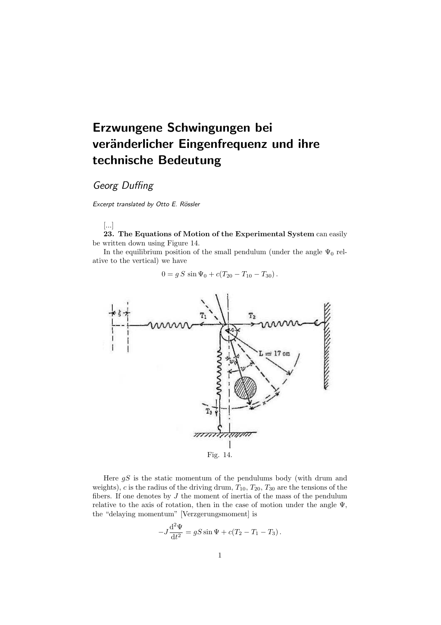# Erzwungene Schwingungen bei veränderlicher Eingenfrequenz und ihre technische Bedeutung

# Georg Duffing

Excerpt translated by Otto E. Rössler

## [...]

23. The Equations of Motion of the Experimental System can easily be written down using Figure 14.

In the equilibrium position of the small pendulum (under the angle  $\Psi_0$  relative to the vertical) we have

$$
0 = g S \sin \Psi_0 + c(T_{20} - T_{10} - T_{30}).
$$



Here  $gS$  is the static momentum of the pendulums body (with drum and weights), c is the radius of the driving drum,  $T_{10}$ ,  $T_{20}$ ,  $T_{30}$  are the tensions of the fibers. If one denotes by  $J$  the moment of inertia of the mass of the pendulum relative to the axis of rotation, then in the case of motion under the angle  $\Psi$ , the "delaying momentum" [Verzgerungsmoment] is

$$
-J\frac{\mathrm{d}^2\Psi}{\mathrm{d}t^2} = gS\sin\Psi + c(T_2 - T_1 - T_3).
$$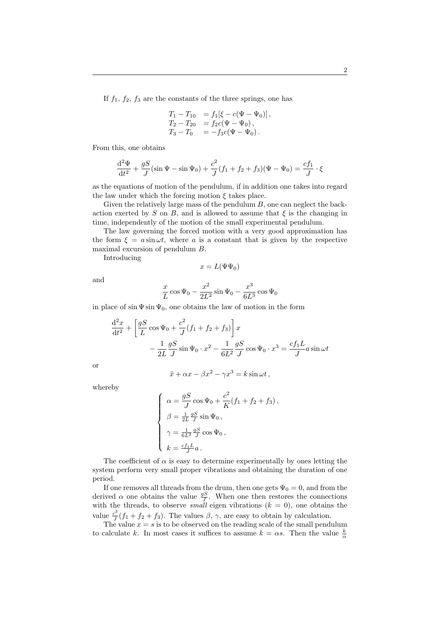If  $f_1$ ,  $f_2$ ,  $f_3$  are the constants of the three springs, one has

$$
T_1 - T_{10} = f_1[\xi - c(\Psi - \Psi_0)],
$$
  
\n
$$
T_2 - T_{20} = f_2 c(\Psi - \Psi_0),
$$
  
\n
$$
T_3 - T_0 = -f_3 c(\Psi - \Psi_0).
$$

From this, one obtains

$$
\frac{d^2\Psi}{dt^2} + \frac{gS}{J}(\sin\Psi - \sin\Psi_0) + \frac{c^2}{J}(f_1 + f_2 + f_3)(\Psi - \Psi_0) = \frac{cf_1}{J} \cdot \xi
$$

as the equations of motion of the pendulum, if in addition one takes into regard the law under which the forcing motion  $\xi$  takes place.

Given the relatively large mass of the pendulum  $B$ , one can neglect the backaction exerted by S on B, and is allowed to assume that  $\xi$  is the changing in time, independently of the motion of the small experimental pendulum.

The law governing the forced motion with a very good approximation has the form  $\xi = a \sin \omega t$ , where a is a constant that is given by the respective maximal excursion of pendulum B.

Introducing

$$
x = L(\Psi \Psi_0)
$$

and

$$
\frac{x}{L}\cos\Psi_0 - \frac{x^2}{2L^2}\sin\Psi_0 - \frac{x^3}{6L^3}\cos\Psi_0
$$

in place of  $\sin \Psi \sin \Psi_0$ , one obtains the law of motion in the form

$$
\frac{\mathrm{d}^2x}{\mathrm{d}t^2} + \left[\frac{gS}{L}\cos\Psi_0 + \frac{c^2}{J}(f_1 + f_2 + f_3)\right]x
$$

$$
-\frac{1}{2L}\frac{gS}{J}\sin\Psi_0 \cdot x^2 - \frac{1}{6L^2}\frac{gS}{J}\cos\Psi_0 \cdot x^3 = \frac{cf_1L}{J}a\sin\omega t
$$

or

$$
\ddot{x} + \alpha x - \beta x^2 - \gamma x^3 = k \sin \omega t,
$$

whereby

$$
\left\{ \begin{array}{l} \alpha = \frac{gS}{J}\cos\Psi_0 + \frac{c^2}{K}(f_1+f_2+f_3), \vspace{.1truecm} \\ \beta = \frac{1}{2L}\frac{gS}{J}\sin\Psi_0 \,, \vspace{.1truecm} \\ \gamma = \frac{1}{6L^2}\frac{gS}{J}\cos\Psi_0 \,, \vspace{.1truecm} \\ k = \frac{cf_1L}{J}a \,. \end{array} \right. \label{eq:alpha}
$$

The coefficient of  $\alpha$  is easy to determine experimentally by ones letting the system perform very small proper vibrations and obtaining the duration of one period.

If one removes all threads from the drum, then one gets  $\Psi_0 = 0$ , and from the derived  $\alpha$  one obtains the value  $\frac{gS}{J}$ . When one then restores the connections with the threads, to observe *small* eigen vibrations  $(k = 0)$ , one obtains the value  $\frac{c^2}{l}$  $\frac{c^2}{J}(f_1 + f_2 + f_3)$ . The values  $\beta$ ,  $\gamma$ , are easy to obtain by calculation.

The value  $x = s$  is to be observed on the reading scale of the small pendulum to calculate k. In most cases it suffices to assume  $k = \alpha s$ . Then the value  $\frac{k}{\alpha}$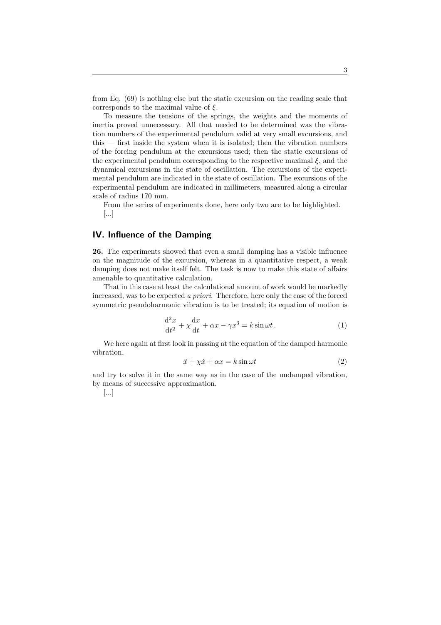from Eq. (69) is nothing else but the static excursion on the reading scale that corresponds to the maximal value of  $\xi$ .

To measure the tensions of the springs, the weights and the moments of inertia proved unnecessary. All that needed to be determined was the vibration numbers of the experimental pendulum valid at very small excursions, and this — first inside the system when it is isolated; then the vibration numbers of the forcing pendulum at the excursions used; then the static excursions of the experimental pendulum corresponding to the respective maximal  $\xi$ , and the dynamical excursions in the state of oscillation. The excursions of the experimental pendulum are indicated in the state of oscillation. The excursions of the experimental pendulum are indicated in millimeters, measured along a circular scale of radius 170 mm.

From the series of experiments done, here only two are to be highlighted. [...]

### IV. Influence of the Damping

26. The experiments showed that even a small damping has a visible influence on the magnitude of the excursion, whereas in a quantitative respect, a weak damping does not make itself felt. The task is now to make this state of affairs amenable to quantitative calculation.

That in this case at least the calculational amount of work would be markedly increased, was to be expected a priori. Therefore, here only the case of the forced symmetric pseudoharmonic vibration is to be treated; its equation of motion is

$$
\frac{\mathrm{d}^2x}{\mathrm{d}t^2} + \chi \frac{\mathrm{d}x}{\mathrm{d}t} + \alpha x - \gamma x^3 = k \sin \omega t. \tag{1}
$$

We here again at first look in passing at the equation of the damped harmonic vibration,

$$
\ddot{x} + \chi \dot{x} + \alpha x = k \sin \omega t \tag{2}
$$

and try to solve it in the same way as in the case of the undamped vibration, by means of successive approximation.

### [...]